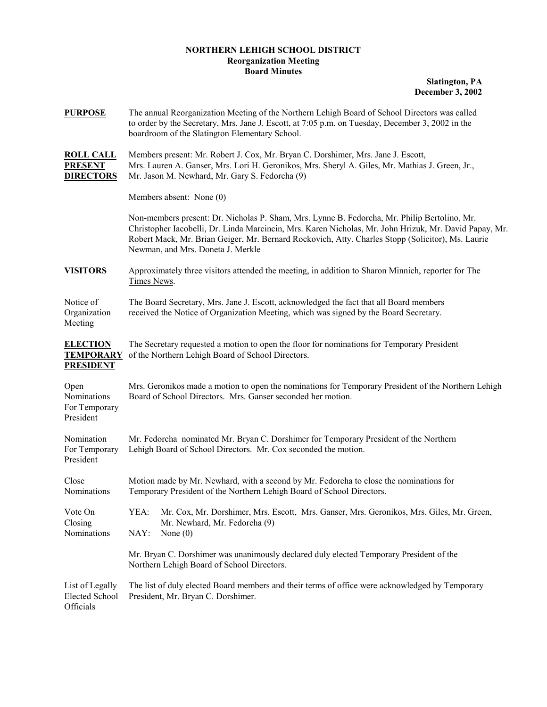## **NORTHERN LEHIGH SCHOOL DISTRICT Reorganization Meeting Board Minutes**

**Slatington, PA December 3, 2002**

| <b>PURPOSE</b>                                          | The annual Reorganization Meeting of the Northern Lehigh Board of School Directors was called<br>to order by the Secretary, Mrs. Jane J. Escott, at 7:05 p.m. on Tuesday, December 3, 2002 in the<br>boardroom of the Slatington Elementary School.                                                                                              |
|---------------------------------------------------------|--------------------------------------------------------------------------------------------------------------------------------------------------------------------------------------------------------------------------------------------------------------------------------------------------------------------------------------------------|
| <b>ROLL CALL</b><br><b>PRESENT</b><br><b>DIRECTORS</b>  | Members present: Mr. Robert J. Cox, Mr. Bryan C. Dorshimer, Mrs. Jane J. Escott,<br>Mrs. Lauren A. Ganser, Mrs. Lori H. Geronikos, Mrs. Sheryl A. Giles, Mr. Mathias J. Green, Jr.,<br>Mr. Jason M. Newhard, Mr. Gary S. Fedorcha (9)                                                                                                            |
|                                                         | Members absent: None (0)                                                                                                                                                                                                                                                                                                                         |
|                                                         | Non-members present: Dr. Nicholas P. Sham, Mrs. Lynne B. Fedorcha, Mr. Philip Bertolino, Mr.<br>Christopher Iacobelli, Dr. Linda Marcincin, Mrs. Karen Nicholas, Mr. John Hrizuk, Mr. David Papay, Mr.<br>Robert Mack, Mr. Brian Geiger, Mr. Bernard Rockovich, Atty. Charles Stopp (Solicitor), Ms. Laurie<br>Newman, and Mrs. Doneta J. Merkle |
| <b>VISITORS</b>                                         | Approximately three visitors attended the meeting, in addition to Sharon Minnich, reporter for The<br>Times News.                                                                                                                                                                                                                                |
| Notice of<br>Organization<br>Meeting                    | The Board Secretary, Mrs. Jane J. Escott, acknowledged the fact that all Board members<br>received the Notice of Organization Meeting, which was signed by the Board Secretary.                                                                                                                                                                  |
| <b>ELECTION</b><br><b>TEMPORARY</b><br><b>PRESIDENT</b> | The Secretary requested a motion to open the floor for nominations for Temporary President<br>of the Northern Lehigh Board of School Directors.                                                                                                                                                                                                  |
| Open<br>Nominations<br>For Temporary<br>President       | Mrs. Geronikos made a motion to open the nominations for Temporary President of the Northern Lehigh<br>Board of School Directors. Mrs. Ganser seconded her motion.                                                                                                                                                                               |
| Nomination<br>For Temporary<br>President                | Mr. Fedorcha nominated Mr. Bryan C. Dorshimer for Temporary President of the Northern<br>Lehigh Board of School Directors. Mr. Cox seconded the motion.                                                                                                                                                                                          |
| Close<br>Nominations                                    | Motion made by Mr. Newhard, with a second by Mr. Fedorcha to close the nominations for<br>Temporary President of the Northern Lehigh Board of School Directors.                                                                                                                                                                                  |
| Vote On<br>Closing<br>Nominations                       | Mr. Cox, Mr. Dorshimer, Mrs. Escott, Mrs. Ganser, Mrs. Geronikos, Mrs. Giles, Mr. Green,<br>YEA:<br>Mr. Newhard, Mr. Fedorcha (9)<br>NAY:<br>None $(0)$                                                                                                                                                                                          |
|                                                         | Mr. Bryan C. Dorshimer was unanimously declared duly elected Temporary President of the<br>Northern Lehigh Board of School Directors.                                                                                                                                                                                                            |
| List of Legally<br><b>Elected School</b><br>Officials   | The list of duly elected Board members and their terms of office were acknowledged by Temporary<br>President, Mr. Bryan C. Dorshimer.                                                                                                                                                                                                            |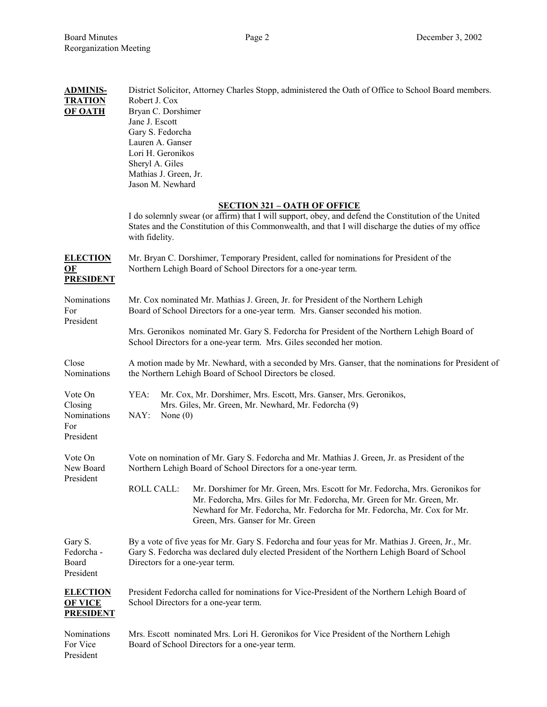| <b>ADMINIS-</b><br><b>TRATION</b><br><b>OF OATH</b>              | District Solicitor, Attorney Charles Stopp, administered the Oath of Office to School Board members.<br>Robert J. Cox<br>Bryan C. Dorshimer<br>Jane J. Escott<br>Gary S. Fedorcha<br>Lauren A. Ganser<br>Lori H. Geronikos<br>Sheryl A. Giles<br>Mathias J. Green, Jr.<br>Jason M. Newhard    |
|------------------------------------------------------------------|-----------------------------------------------------------------------------------------------------------------------------------------------------------------------------------------------------------------------------------------------------------------------------------------------|
|                                                                  | <b>SECTION 321 - OATH OF OFFICE</b><br>I do solemnly swear (or affirm) that I will support, obey, and defend the Constitution of the United<br>States and the Constitution of this Commonwealth, and that I will discharge the duties of my office<br>with fidelity.                          |
| <b>ELECTION</b><br>$\underline{\mathbf{OF}}$<br><b>PRESIDENT</b> | Mr. Bryan C. Dorshimer, Temporary President, called for nominations for President of the<br>Northern Lehigh Board of School Directors for a one-year term.                                                                                                                                    |
| Nominations<br>For<br>President                                  | Mr. Cox nominated Mr. Mathias J. Green, Jr. for President of the Northern Lehigh<br>Board of School Directors for a one-year term. Mrs. Ganser seconded his motion.                                                                                                                           |
|                                                                  | Mrs. Geronikos nominated Mr. Gary S. Fedorcha for President of the Northern Lehigh Board of<br>School Directors for a one-year term. Mrs. Giles seconded her motion.                                                                                                                          |
| Close<br>Nominations                                             | A motion made by Mr. Newhard, with a seconded by Mrs. Ganser, that the nominations for President of<br>the Northern Lehigh Board of School Directors be closed.                                                                                                                               |
| Vote On<br>Closing<br>Nominations<br>For<br>President            | Mr. Cox, Mr. Dorshimer, Mrs. Escott, Mrs. Ganser, Mrs. Geronikos,<br>YEA:<br>Mrs. Giles, Mr. Green, Mr. Newhard, Mr. Fedorcha (9)<br>NAY:<br>None $(0)$                                                                                                                                       |
| Vote On<br>New Board<br>President                                | Vote on nomination of Mr. Gary S. Fedorcha and Mr. Mathias J. Green, Jr. as President of the<br>Northern Lehigh Board of School Directors for a one-year term.                                                                                                                                |
|                                                                  | Mr. Dorshimer for Mr. Green, Mrs. Escott for Mr. Fedorcha, Mrs. Geronikos for<br><b>ROLL CALL:</b><br>Mr. Fedorcha, Mrs. Giles for Mr. Fedorcha, Mr. Green for Mr. Green, Mr.<br>Newhard for Mr. Fedorcha, Mr. Fedorcha for Mr. Fedorcha, Mr. Cox for Mr.<br>Green, Mrs. Ganser for Mr. Green |
| Gary S.<br>Fedorcha -<br>Board<br>President                      | By a vote of five yeas for Mr. Gary S. Fedorcha and four yeas for Mr. Mathias J. Green, Jr., Mr.<br>Gary S. Fedorcha was declared duly elected President of the Northern Lehigh Board of School<br>Directors for a one-year term.                                                             |
| <b>ELECTION</b><br><b>OF VICE</b><br><b>PRESIDENT</b>            | President Fedorcha called for nominations for Vice-President of the Northern Lehigh Board of<br>School Directors for a one-year term.                                                                                                                                                         |
| Nominations<br>For Vice<br>President                             | Mrs. Escott nominated Mrs. Lori H. Geronikos for Vice President of the Northern Lehigh<br>Board of School Directors for a one-year term.                                                                                                                                                      |